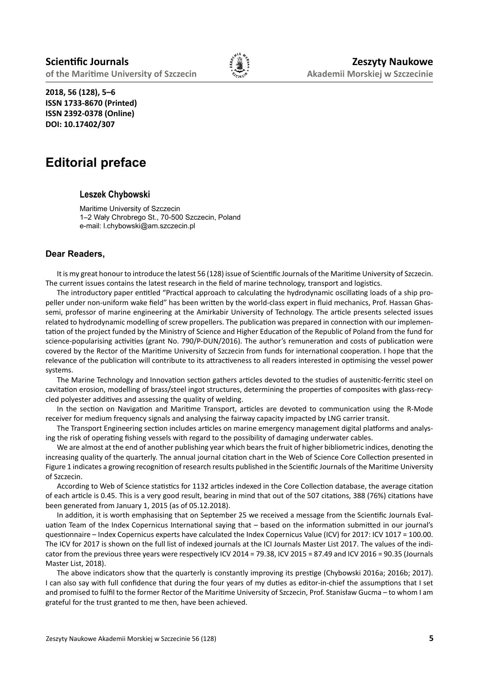

**2018, 56 (128), 5–6 ISSN 1733-8670 (Printed) ISSN 2392-0378 (Online) DOI: 10.17402/307**

## **Editorial preface**

## **Leszek Chybowski**

Maritime University of Szczecin 1–2 Wały Chrobrego St., 70-500 Szczecin, Poland e-mail: l.chybowski@am.szczecin.pl

## **Dear Readers,**

It is my great honour to introduce the latest 56 (128) issue of Scientific Journals of the Maritime University of Szczecin. The current issues contains the latest research in the field of marine technology, transport and logistics.

The introductory paper entitled "Practical approach to calculating the hydrodynamic oscillating loads of a ship propeller under non-uniform wake field" has been written by the world-class expert in fluid mechanics, Prof. Hassan Ghassemi, professor of marine engineering at the Amirkabir University of Technology. The article presents selected issues related to hydrodynamic modelling of screw propellers. The publication was prepared in connection with our implementation of the project funded by the Ministry of Science and Higher Education of the Republic of Poland from the fund for science-popularising activities (grant No. 790/P-DUN/2016). The author's remuneration and costs of publication were covered by the Rector of the Maritime University of Szczecin from funds for international cooperation. I hope that the relevance of the publication will contribute to its attractiveness to all readers interested in optimising the vessel power systems.

The Marine Technology and Innovation section gathers articles devoted to the studies of austenitic-ferritic steel on cavitation erosion, modelling of brass/steel ingot structures, determining the properties of composites with glass-recycled polyester additives and assessing the quality of welding.

In the section on Navigation and Maritime Transport, articles are devoted to communication using the R-Mode receiver for medium frequency signals and analysing the fairway capacity impacted by LNG carrier transit.

The Transport Engineering section includes articles on marine emergency management digital platforms and analysing the risk of operating fishing vessels with regard to the possibility of damaging underwater cables.

We are almost at the end of another publishing year which bears the fruit of higher bibliometric indices, denoting the increasing quality of the quarterly. The annual journal citation chart in the Web of Science Core Collection presented in Figure 1 indicates a growing recognition of research results published in the Scientific Journals of the Maritime University of Szczecin.

According to Web of Science statistics for 1132 articles indexed in the Core Collection database, the average citation of each article is 0.45. This is a very good result, bearing in mind that out of the 507 citations, 388 (76%) citations have been generated from January 1, 2015 (as of 05.12.2018).

In addition, it is worth emphasising that on September 25 we received a message from the Scientific Journals Evaluation Team of the Index Copernicus International saying that – based on the information submitted in our journal's questionnaire – Index Copernicus experts have calculated the Index Copernicus Value (ICV) for 2017: ICV 1017 = 100.00. The ICV for 2017 is shown on the full list of indexed journals at the ICI Journals Master List 2017. The values of the indicator from the previous three years were respectively ICV 2014 = 79.38, ICV 2015 = 87.49 and ICV 2016 = 90.35 (Journals Master List, 2018).

The above indicators show that the quarterly is constantly improving its prestige (Chybowski 2016a; 2016b; 2017). I can also say with full confidence that during the four years of my duties as editor-in-chief the assumptions that I set and promised to fulfil to the former Rector of the Maritime University of Szczecin, Prof. Stanisław Gucma – to whom I am grateful for the trust granted to me then, have been achieved.